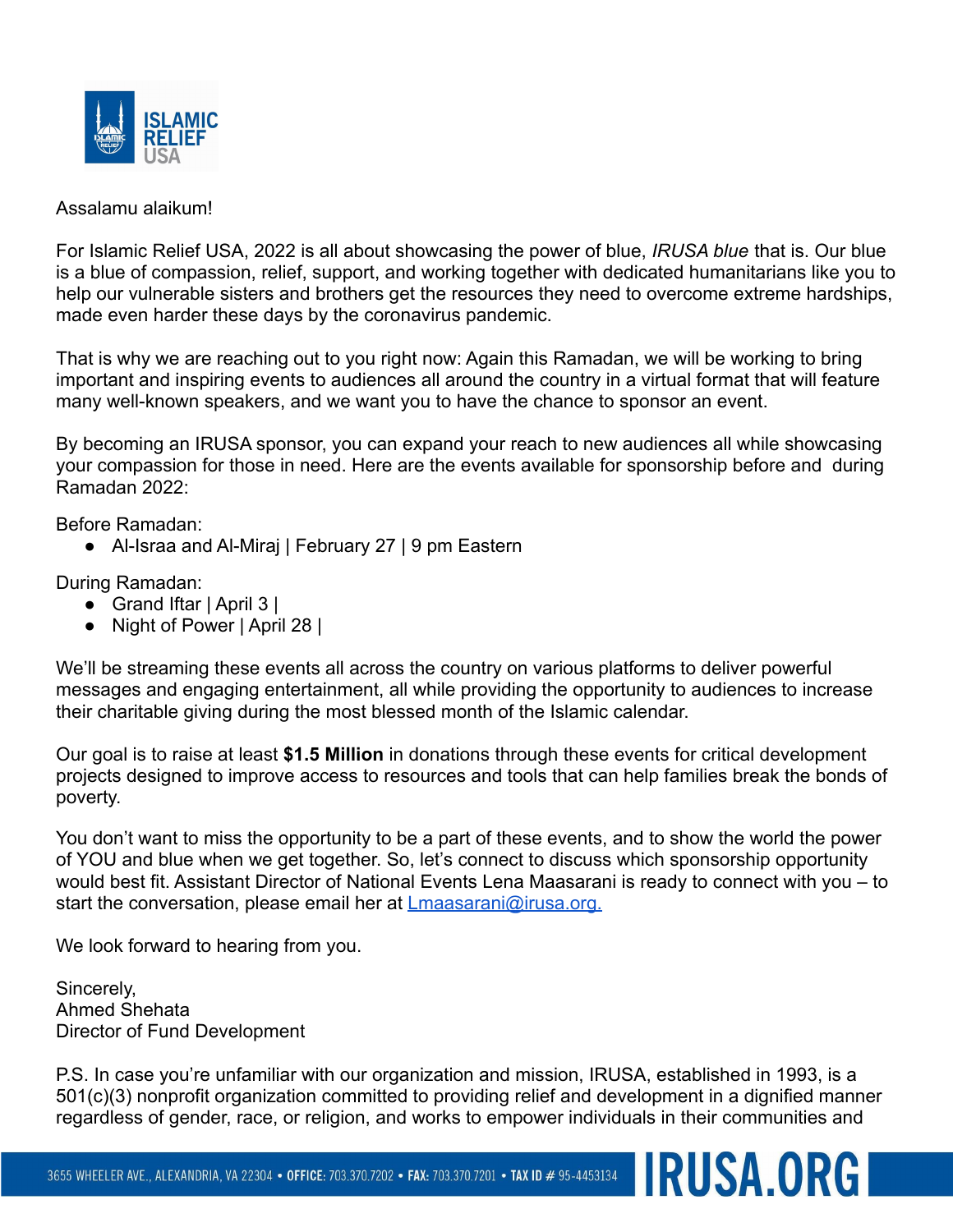

#### Assalamu alaikum!

For Islamic Relief USA, 2022 is all about showcasing the power of blue, *IRUSA blue* that is. Our blue is a blue of compassion, relief, support, and working together with dedicated humanitarians like you to help our vulnerable sisters and brothers get the resources they need to overcome extreme hardships, made even harder these days by the coronavirus pandemic.

That is why we are reaching out to you right now: Again this Ramadan, we will be working to bring important and inspiring events to audiences all around the country in a virtual format that will feature many well-known speakers, and we want you to have the chance to sponsor an event.

By becoming an IRUSA sponsor, you can expand your reach to new audiences all while showcasing your compassion for those in need. Here are the events available for sponsorship before and during Ramadan 2022:

Before Ramadan:

● Al-Israa and Al-Miraj | February 27 | 9 pm Eastern

During Ramadan:

- Grand Iftar | April 3 |
- Night of Power | April 28 |

We'll be streaming these events all across the country on various platforms to deliver powerful messages and engaging entertainment, all while providing the opportunity to audiences to increase their charitable giving during the most blessed month of the Islamic calendar.

Our goal is to raise at least **\$1.5 Million** in donations through these events for critical development projects designed to improve access to resources and tools that can help families break the bonds of poverty.

You don't want to miss the opportunity to be a part of these events, and to show the world the power of YOU and blue when we get together. So, let's connect to discuss which sponsorship opportunity would best fit. Assistant Director of National Events Lena Maasarani is ready to connect with you – to start the conversation, please email her at [Lmaasarani@irusa.org.](mailto:Lmaasarani@irusa.org)

We look forward to hearing from you.

Sincerely, Ahmed Shehata Director of Fund Development

P.S. In case you're unfamiliar with our organization and mission, IRUSA, established in 1993, is a 501(c)(3) nonprofit organization committed to providing relief and development in a dignified manner regardless of gender, race, or religion, and works to empower individuals in their communities and

**IRUSA.ORGI**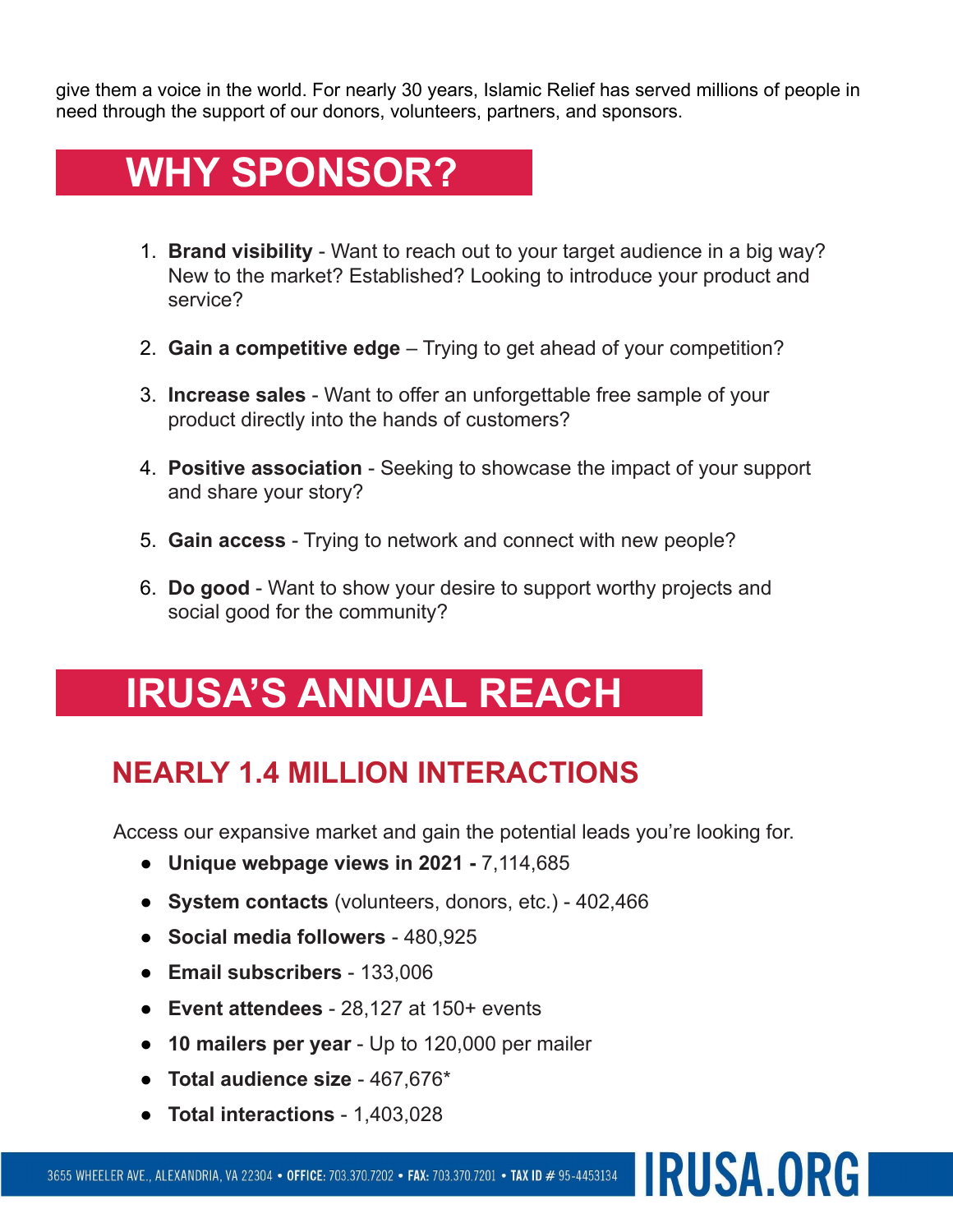give them a voice in the world. For nearly 30 years, Islamic Relief has served millions of people in need through the support of our donors, volunteers, partners, and sponsors.

# **WHY SPONSOR?**

- 1. **Brand visibility** Want to reach out to your target audience in a big way? New to the market? Established? Looking to introduce your product and service?
- 2. **Gain a competitive edge** Trying to get ahead of your competition?
- 3. **Increase sales** Want to offer an unforgettable free sample of your product directly into the hands of customers?
- 4. **Positive association** Seeking to showcase the impact of your support and share your story?
- 5. **Gain access** Trying to network and connect with new people?
- 6. **Do good** Want to show your desire to support worthy projects and social good for the community?

# **IRUSA'S ANNUAL REACH**

## **NEARLY 1.4 MILLION INTERACTIONS**

Access our expansive market and gain the potential leads you're looking for.

**IRUSA.ORGI** 

- **Unique webpage views in 2021 -** 7,114,685
- **System contacts** (volunteers, donors, etc.) 402,466
- **Social media followers** 480,925
- **Email subscribers** 133,006
- **Event attendees** 28,127 at 150+ events
- **10 mailers per year** Up to 120,000 per mailer
- **Total audience size** 467,676\*
- **Total interactions** 1,403,028

3655 WHEELER AVE., ALEXANDRIA, VA 22304 • OFFICE: 703.370.7202 • FAX: 703.370.7201 • TAX ID # 95-4453134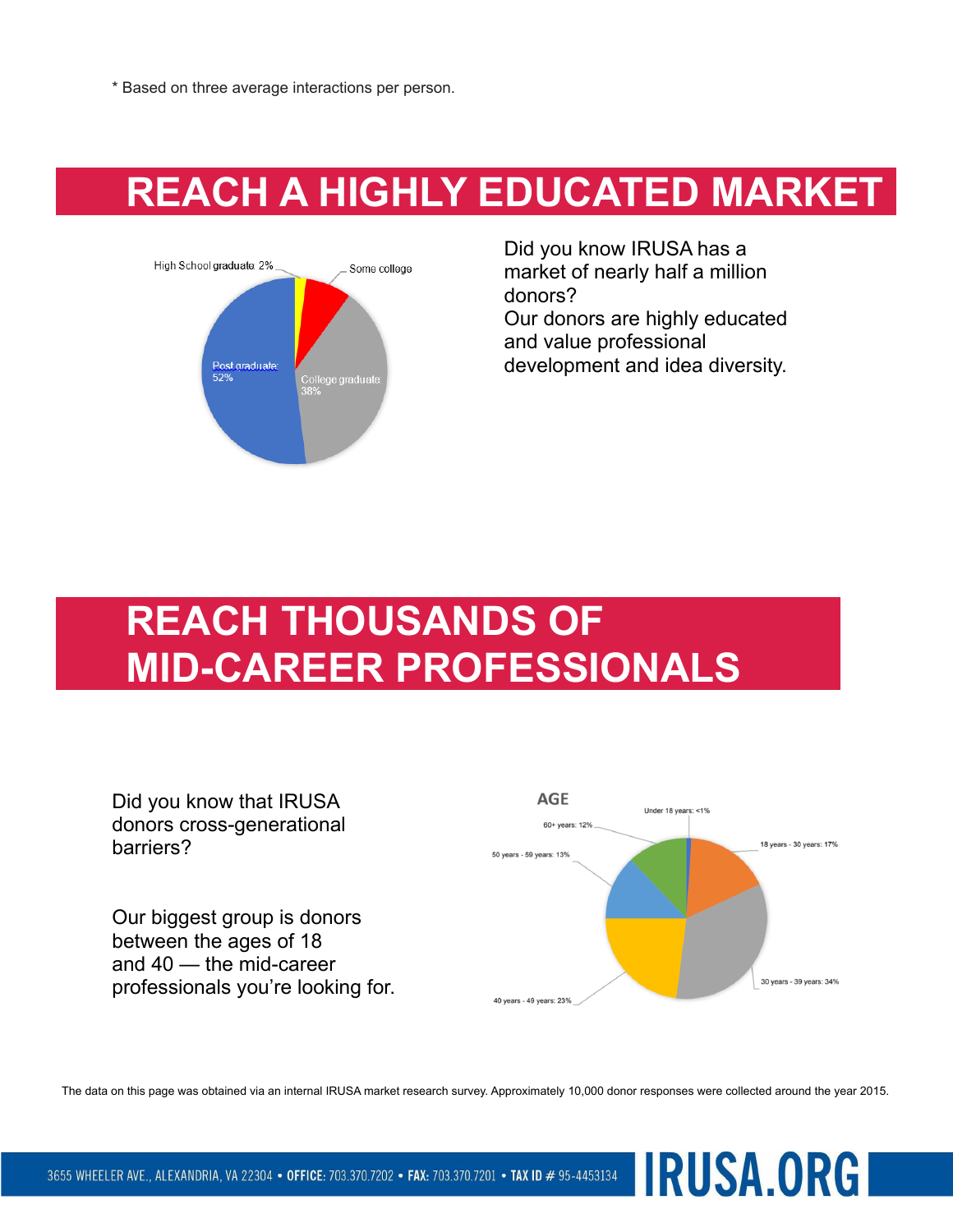\* Based on three average interactions per person.

# **REACH A HIGHLY EDUCATED MARKET**



Did you know IRUSA has a market of nearly half a million donors? Our donors are highly educated and value professional development and idea diversity.

**IRUSA.ORG** 

# **REACH THOUSANDS OF MID-CAREER PROFESSIONALS**



The data on this page was obtained via an internal IRUSA market research survey. Approximately 10,000 donor responses were collected around the year 2015.

3655 WHEELER AVE., ALEXANDRIA, VA 22304 • OFFICE: 703.370.7202 • FAX: 703.370.7201 • TAX ID # 95-4453134